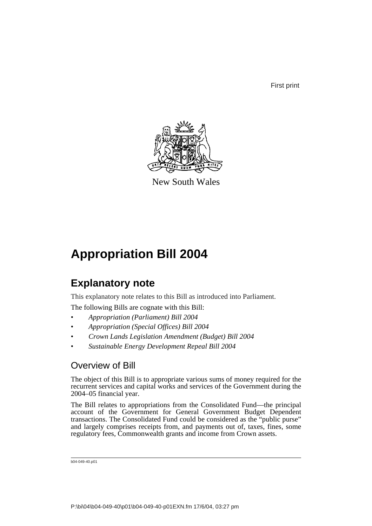First print



New South Wales

# **Appropriation Bill 2004**

# **Explanatory note**

This explanatory note relates to this Bill as introduced into Parliament.

The following Bills are cognate with this Bill:

- *Appropriation (Parliament) Bill 2004*
- *Appropriation (Special Offices) Bill 2004*
- *Crown Lands Legislation Amendment (Budget) Bill 2004*
- *Sustainable Energy Development Repeal Bill 2004*

## Overview of Bill

The object of this Bill is to appropriate various sums of money required for the recurrent services and capital works and services of the Government during the 2004–05 financial year.

The Bill relates to appropriations from the Consolidated Fund—the principal account of the Government for General Government Budget Dependent transactions. The Consolidated Fund could be considered as the "public purse" and largely comprises receipts from, and payments out of, taxes, fines, some regulatory fees, Commonwealth grants and income from Crown assets.

```
b04-049-40.p01
```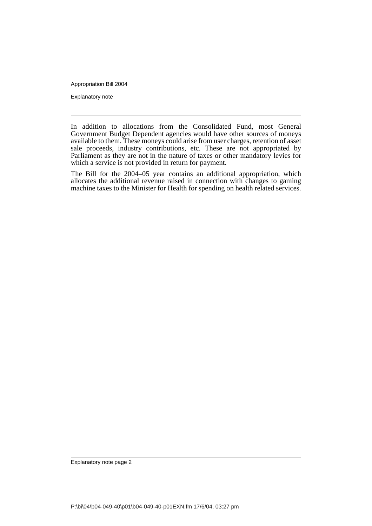Appropriation Bill 2004

Explanatory note

In addition to allocations from the Consolidated Fund, most General Government Budget Dependent agencies would have other sources of moneys available to them. These moneys could arise from user charges, retention of asset sale proceeds, industry contributions, etc. These are not appropriated by Parliament as they are not in the nature of taxes or other mandatory levies for which a service is not provided in return for payment.

The Bill for the 2004–05 year contains an additional appropriation, which allocates the additional revenue raised in connection with changes to gaming machine taxes to the Minister for Health for spending on health related services.

Explanatory note page 2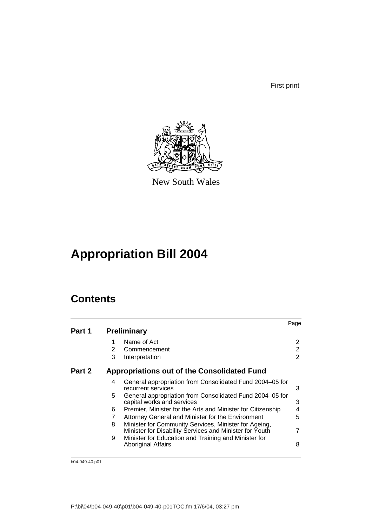First print



New South Wales

# **Appropriation Bill 2004**

# **Contents**

|        |    |                                                                                                                  | Page           |
|--------|----|------------------------------------------------------------------------------------------------------------------|----------------|
| Part 1 |    | <b>Preliminary</b>                                                                                               |                |
|        |    | Name of Act                                                                                                      | 2              |
|        | 2  | Commencement                                                                                                     | 2              |
|        | 3  | Interpretation                                                                                                   | 2              |
| Part 2 |    | <b>Appropriations out of the Consolidated Fund</b>                                                               |                |
|        | 4  | General appropriation from Consolidated Fund 2004-05 for<br>recurrent services                                   | 3              |
|        | 5. | General appropriation from Consolidated Fund 2004–05 for<br>capital works and services                           | 3              |
|        | 6  | Premier, Minister for the Arts and Minister for Citizenship                                                      | 4              |
|        | 7  | Attorney General and Minister for the Environment                                                                | 5              |
|        | 8  | Minister for Community Services, Minister for Ageing,<br>Minister for Disability Services and Minister for Youth | $\overline{7}$ |
|        | 9  | Minister for Education and Training and Minister for<br><b>Aboriginal Affairs</b>                                | 8              |
|        |    |                                                                                                                  |                |

b04-049-40.p01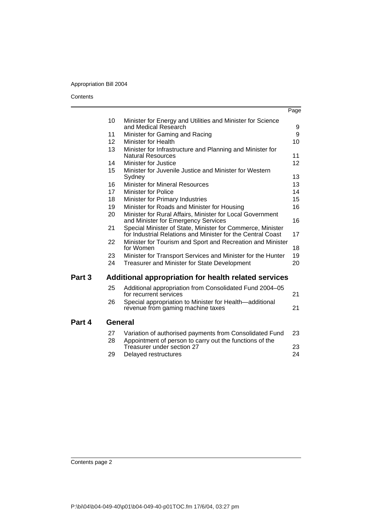## Appropriation Bill 2004

#### **Contents**

l.

|        |                 |                                                                                                                           | Page |
|--------|-----------------|---------------------------------------------------------------------------------------------------------------------------|------|
|        | 10              | Minister for Energy and Utilities and Minister for Science                                                                |      |
|        |                 | and Medical Research                                                                                                      | 9    |
|        | 11              | Minister for Gaming and Racing                                                                                            | 9    |
|        | 12 <sup>2</sup> | Minister for Health                                                                                                       | 10   |
|        | 13              | Minister for Infrastructure and Planning and Minister for<br><b>Natural Resources</b>                                     | 11   |
|        | 14              | Minister for Justice                                                                                                      | 12   |
|        | 15              | Minister for Juvenile Justice and Minister for Western<br>Sydney                                                          | 13   |
|        | 16              | <b>Minister for Mineral Resources</b>                                                                                     | 13   |
|        | 17              | Minister for Police                                                                                                       | 14   |
|        | 18              | Minister for Primary Industries                                                                                           | 15   |
|        | 19              | Minister for Roads and Minister for Housing                                                                               | 16   |
|        | 20              | Minister for Rural Affairs, Minister for Local Government<br>and Minister for Emergency Services                          | 16   |
|        | 21              | Special Minister of State, Minister for Commerce, Minister<br>for Industrial Relations and Minister for the Central Coast | 17   |
|        | 22              | Minister for Tourism and Sport and Recreation and Minister<br>for Women                                                   | 18   |
|        | 23              | Minister for Transport Services and Minister for the Hunter                                                               | 19   |
|        | 24              | Treasurer and Minister for State Development                                                                              | 20   |
| Part 3 |                 | Additional appropriation for health related services                                                                      |      |
|        | 25              | Additional appropriation from Consolidated Fund 2004-05<br>for recurrent services                                         | 21   |
|        | 26              | Special appropriation to Minister for Health-additional<br>revenue from gaming machine taxes                              | 21   |
| Part 4 | General         |                                                                                                                           |      |
|        | 27              | Variation of authorised payments from Consolidated Fund                                                                   | 23   |
|        | 28              | Appointment of person to carry out the functions of the<br>Treasurer under section 27                                     | 23   |
|        | 29              | Delayed restructures                                                                                                      | 24   |

**Part**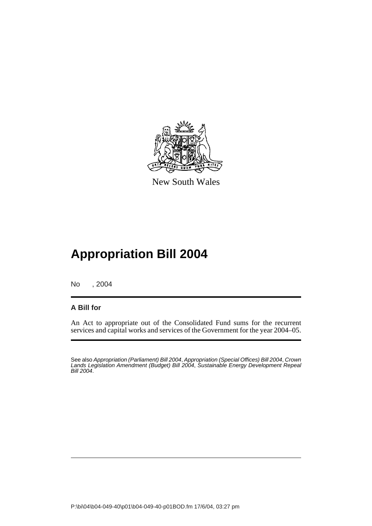

New South Wales

# **Appropriation Bill 2004**

No , 2004

## **A Bill for**

An Act to appropriate out of the Consolidated Fund sums for the recurrent services and capital works and services of the Government for the year 2004–05.

See also *Appropriation (Parliament) Bill 2004*, *Appropriation (Special Offices) Bill 2004*, *Crown Lands Legislation Amendment (Budget) Bill 2004*, *Sustainable Energy Development Repeal Bill 2004*.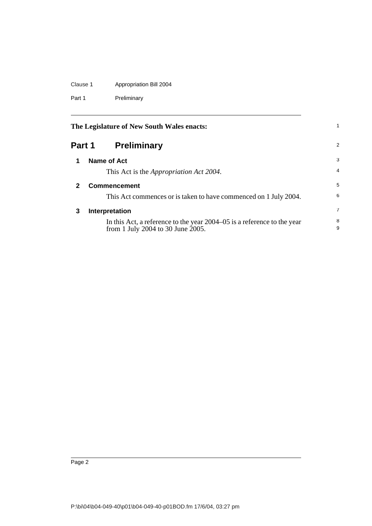## Clause 1 Appropriation Bill 2004

Part 1 Preliminary

<span id="page-5-3"></span><span id="page-5-2"></span><span id="page-5-1"></span><span id="page-5-0"></span>

|              | The Legislature of New South Wales enacts:                                                                   |                |  |
|--------------|--------------------------------------------------------------------------------------------------------------|----------------|--|
|              | Part 1<br><b>Preliminary</b>                                                                                 | 2              |  |
| 1            | <b>Name of Act</b>                                                                                           | 3              |  |
|              | This Act is the <i>Appropriation Act 2004</i> .                                                              | $\overline{4}$ |  |
| $\mathbf{2}$ | <b>Commencement</b>                                                                                          | 5              |  |
|              | This Act commences or is taken to have commenced on 1 July 2004.                                             | 6              |  |
| 3            | Interpretation                                                                                               | 7              |  |
|              | In this Act, a reference to the year 2004–05 is a reference to the year<br>from 1 July 2004 to 30 June 2005. | 8<br>9         |  |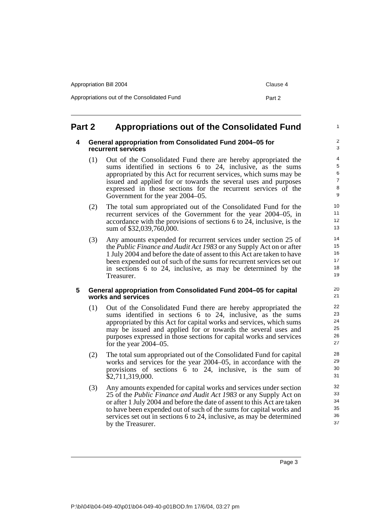| Appropriation Bill 2004                     | Clause 4 |
|---------------------------------------------|----------|
| Appropriations out of the Consolidated Fund | Part 2   |

## <span id="page-6-1"></span><span id="page-6-0"></span>**Part 2 Appropriations out of the Consolidated Fund**

#### **4 General appropriation from Consolidated Fund 2004–05 for recurrent services**

- (1) Out of the Consolidated Fund there are hereby appropriated the sums identified in sections 6 to 24, inclusive, as the sums appropriated by this Act for recurrent services, which sums may be issued and applied for or towards the several uses and purposes expressed in those sections for the recurrent services of the Government for the year 2004–05.
- (2) The total sum appropriated out of the Consolidated Fund for the recurrent services of the Government for the year 2004–05, in accordance with the provisions of sections 6 to 24, inclusive, is the sum of \$32,039,760,000.
- (3) Any amounts expended for recurrent services under section 25 of the *Public Finance and Audit Act 1983* or any Supply Act on or after 1 July 2004 and before the date of assent to this Act are taken to have been expended out of such of the sums for recurrent services set out in sections 6 to 24, inclusive, as may be determined by the Treasurer.

#### <span id="page-6-2"></span>**5 General appropriation from Consolidated Fund 2004–05 for capital works and services**

- (1) Out of the Consolidated Fund there are hereby appropriated the sums identified in sections 6 to 24, inclusive, as the sums appropriated by this Act for capital works and services, which sums may be issued and applied for or towards the several uses and purposes expressed in those sections for capital works and services for the year 2004–05.
- (2) The total sum appropriated out of the Consolidated Fund for capital works and services for the year 2004–05, in accordance with the provisions of sections 6 to 24, inclusive, is the sum of \$2,711,319,000.
- (3) Any amounts expended for capital works and services under section 25 of the *Public Finance and Audit Act 1983* or any Supply Act on or after 1 July 2004 and before the date of assent to this Act are taken to have been expended out of such of the sums for capital works and services set out in sections 6 to 24, inclusive, as may be determined by the Treasurer.

1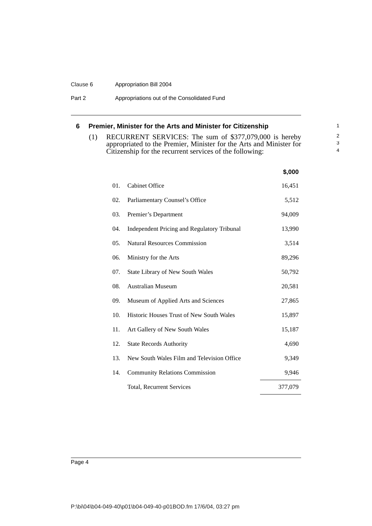#### Clause 6 Appropriation Bill 2004

Part 2 **Appropriations out of the Consolidated Fund** 

### <span id="page-7-0"></span>**6 Premier, Minister for the Arts and Minister for Citizenship**

(1) RECURRENT SERVICES: The sum of \$377,079,000 is hereby appropriated to the Premier, Minister for the Arts and Minister for Citizenship for the recurrent services of the following:

|     |                                                    | \$,000  |
|-----|----------------------------------------------------|---------|
| 01. | <b>Cabinet Office</b>                              | 16,451  |
| 02. | Parliamentary Counsel's Office                     | 5,512   |
| 03. | Premier's Department                               | 94,009  |
| 04. | <b>Independent Pricing and Regulatory Tribunal</b> | 13,990  |
| 05. | <b>Natural Resources Commission</b>                | 3,514   |
| 06. | Ministry for the Arts                              | 89,296  |
| 07. | <b>State Library of New South Wales</b>            | 50,792  |
| 08. | <b>Australian Museum</b>                           | 20,581  |
| 09. | Museum of Applied Arts and Sciences                | 27,865  |
| 10. | <b>Historic Houses Trust of New South Wales</b>    | 15,897  |
| 11. | Art Gallery of New South Wales                     | 15,187  |
| 12. | <b>State Records Authority</b>                     | 4,690   |
| 13. | New South Wales Film and Television Office         | 9,349   |
| 14. | <b>Community Relations Commission</b>              | 9,946   |
|     | Total, Recurrent Services                          | 377,079 |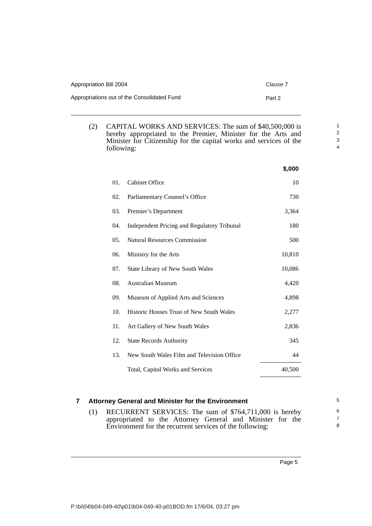| Appropriation Bill 2004                     | Clause 7 |
|---------------------------------------------|----------|
| Appropriations out of the Consolidated Fund | Part 2   |

(2) CAPITAL WORKS AND SERVICES: The sum of \$40,500,000 is hereby appropriated to the Premier, Minister for the Arts and Minister for Citizenship for the capital works and services of the following:

|     |                                             | \$,000 |
|-----|---------------------------------------------|--------|
| 01. | <b>Cabinet Office</b>                       | 10     |
| 02. | Parliamentary Counsel's Office              | 730    |
| 03. | Premier's Department                        | 3,364  |
| 04. | Independent Pricing and Regulatory Tribunal | 180    |
| 05. | <b>Natural Resources Commission</b>         | 500    |
| 06. | Ministry for the Arts                       | 10,810 |
| 07. | State Library of New South Wales            | 10,086 |
| 08. | <b>Australian Museum</b>                    | 4,420  |
| 09. | Museum of Applied Arts and Sciences         | 4,898  |
| 10. | Historic Houses Trust of New South Wales    | 2,277  |
| 11. | Art Gallery of New South Wales              | 2,836  |
| 12. | <b>State Records Authority</b>              | 345    |
| 13. | New South Wales Film and Television Office  | 44     |
|     | Total, Capital Works and Services           | 40,500 |

#### <span id="page-8-0"></span>**7 Attorney General and Minister for the Environment**

(1) RECURRENT SERVICES: The sum of \$764,711,000 is hereby appropriated to the Attorney General and Minister for the Environment for the recurrent services of the following:

Page 5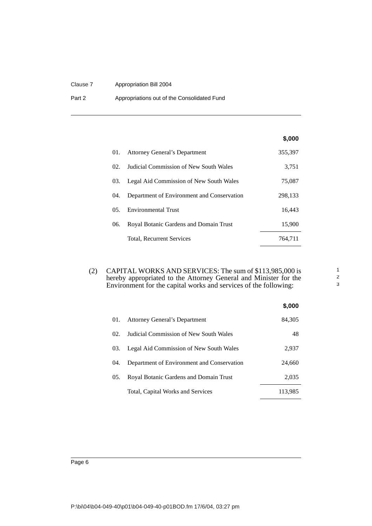#### Clause 7 Appropriation Bill 2004

Part 2 **Appropriations out of the Consolidated Fund** 

### **\$,000**

| 01. | <b>Attorney General's Department</b>       | 355,397 |
|-----|--------------------------------------------|---------|
| 02. | Judicial Commission of New South Wales     | 3,751   |
| 03. | Legal Aid Commission of New South Wales    | 75,087  |
| 04. | Department of Environment and Conservation | 298,133 |
| 0.5 | <b>Environmental Trust</b>                 | 16,443  |
| 06. | Royal Botanic Gardens and Domain Trust     | 15,900  |
|     | Total, Recurrent Services                  | 764.711 |

(2) CAPITAL WORKS AND SERVICES: The sum of \$113,985,000 is hereby appropriated to the Attorney General and Minister for the Environment for the capital works and services of the following:

|     |                                            | \$,000  |
|-----|--------------------------------------------|---------|
| 01. | <b>Attorney General's Department</b>       | 84,305  |
| 02. | Judicial Commission of New South Wales     | 48      |
| 03. | Legal Aid Commission of New South Wales    | 2,937   |
| 04. | Department of Environment and Conservation | 24,660  |
| 05. | Royal Botanic Gardens and Domain Trust     | 2,035   |
|     | Total, Capital Works and Services          | 113.985 |

Page 6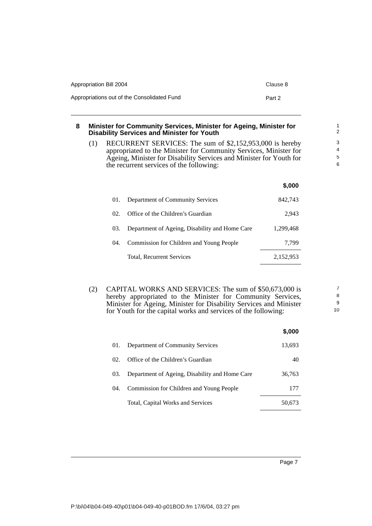| Appropriation Bill 2004                     | Clause 8 |
|---------------------------------------------|----------|
| Appropriations out of the Consolidated Fund | Part 2   |

#### <span id="page-10-0"></span>**8 Minister for Community Services, Minister for Ageing, Minister for Disability Services and Minister for Youth**

(1) RECURRENT SERVICES: The sum of \$2,152,953,000 is hereby appropriated to the Minister for Community Services, Minister for Ageing, Minister for Disability Services and Minister for Youth for the recurrent services of the following:

|                 |                                                | \$,000    |
|-----------------|------------------------------------------------|-----------|
| 01.             | Department of Community Services               | 842.743   |
| 02 <sub>1</sub> | Office of the Children's Guardian              | 2.943     |
| 03.             | Department of Ageing, Disability and Home Care | 1,299,468 |
| (14)            | Commission for Children and Young People       | 7.799     |
|                 | Total, Recurrent Services                      | 2,152,953 |

(2) CAPITAL WORKS AND SERVICES: The sum of \$50,673,000 is hereby appropriated to the Minister for Community Services, Minister for Ageing, Minister for Disability Services and Minister for Youth for the capital works and services of the following:

|     |                                                | \$,000 |
|-----|------------------------------------------------|--------|
| 01. | Department of Community Services               | 13,693 |
| 02. | Office of the Children's Guardian              | 40     |
| 03. | Department of Ageing, Disability and Home Care | 36,763 |
| 04. | Commission for Children and Young People       | 177    |
|     | Total, Capital Works and Services              | 50,673 |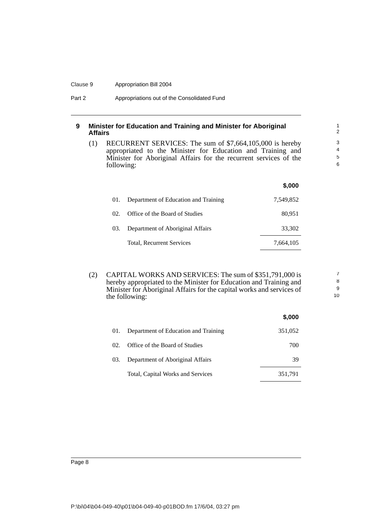#### Clause 9 Appropriation Bill 2004

#### <span id="page-11-0"></span>**9 Minister for Education and Training and Minister for Aboriginal Affairs**

(1) RECURRENT SERVICES: The sum of \$7,664,105,000 is hereby appropriated to the Minister for Education and Training and Minister for Aboriginal Affairs for the recurrent services of the following:

|     |                                      | \$,000    |
|-----|--------------------------------------|-----------|
| 01. | Department of Education and Training | 7,549,852 |
| 02. | Office of the Board of Studies       | 80,951    |
| 03. | Department of Aboriginal Affairs     | 33,302    |
|     | Total, Recurrent Services            | 7,664,105 |

(2) CAPITAL WORKS AND SERVICES: The sum of \$351,791,000 is hereby appropriated to the Minister for Education and Training and Minister for Aboriginal Affairs for the capital works and services of the following:

|     |                                      | \$,000  |
|-----|--------------------------------------|---------|
| 01. | Department of Education and Training | 351,052 |
| 02. | Office of the Board of Studies       | 700     |
| 03. | Department of Aboriginal Affairs     | 39      |
|     | Total, Capital Works and Services    | 351,791 |

7 8 9

10

P:\bi\04\b04-049-40\p01\b04-049-40-p01BOD.fm 17/6/04, 03:27 pm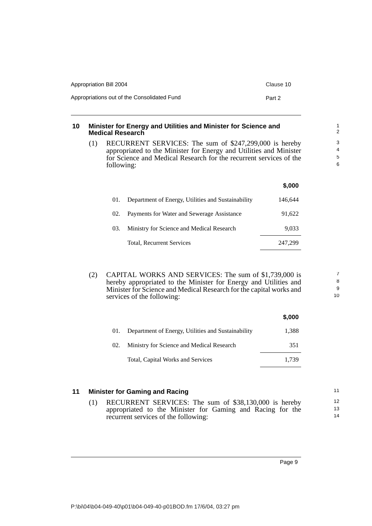| Appropriation Bill 2004                     | Clause 10 |
|---------------------------------------------|-----------|
| Appropriations out of the Consolidated Fund | Part 2    |

#### <span id="page-12-0"></span>**10 Minister for Energy and Utilities and Minister for Science and Medical Research**

(1) RECURRENT SERVICES: The sum of \$247,299,000 is hereby appropriated to the Minister for Energy and Utilities and Minister for Science and Medical Research for the recurrent services of the following:

|     |                                                    | \$,000  |
|-----|----------------------------------------------------|---------|
| 01. | Department of Energy, Utilities and Sustainability | 146.644 |
| 02. | Payments for Water and Sewerage Assistance         | 91,622  |
| 03. | Ministry for Science and Medical Research          | 9.033   |
|     | Total, Recurrent Services                          | 247.299 |

(2) CAPITAL WORKS AND SERVICES: The sum of \$1,739,000 is hereby appropriated to the Minister for Energy and Utilities and Minister for Science and Medical Research for the capital works and services of the following:

|     |                                                    | \$,000 |
|-----|----------------------------------------------------|--------|
| 01. | Department of Energy, Utilities and Sustainability | 1,388  |
| 02. | Ministry for Science and Medical Research          | 351    |
|     | Total, Capital Works and Services                  | 1.739  |

#### <span id="page-12-1"></span>**11 Minister for Gaming and Racing** (1) RECURRENT SERVICES: The sum of \$38,130,000 is hereby appropriated to the Minister for Gaming and Racing for the recurrent services of the following: 11 12 13 14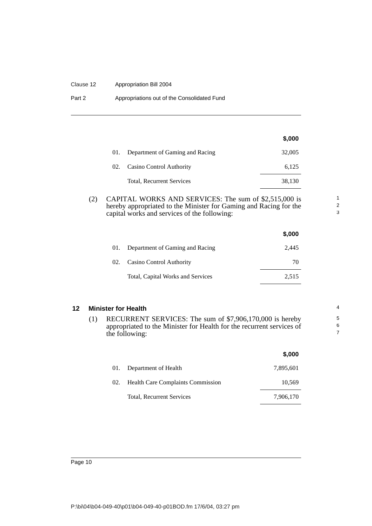#### Clause 12 Appropriation Bill 2004

| Part 2 | Appropriations out of the Consolidated Fund |  |
|--------|---------------------------------------------|--|
|--------|---------------------------------------------|--|

|     |                                 | \$,000 |
|-----|---------------------------------|--------|
| 01. | Department of Gaming and Racing | 32,005 |
| 02. | Casino Control Authority        | 6,125  |
|     | Total, Recurrent Services       | 38,130 |

(2) CAPITAL WORKS AND SERVICES: The sum of \$2,515,000 is hereby appropriated to the Minister for Gaming and Racing for the capital works and services of the following:

|     |                                   | \$,000 |
|-----|-----------------------------------|--------|
| 01. | Department of Gaming and Racing   | 2,445  |
|     | 02. Casino Control Authority      | 70     |
|     | Total, Capital Works and Services | 2,515  |

## <span id="page-13-0"></span>**12 Minister for Health**

(1) RECURRENT SERVICES: The sum of \$7,906,170,000 is hereby appropriated to the Minister for Health for the recurrent services of the following:

|     |                                          | \$,000    |
|-----|------------------------------------------|-----------|
| 01. | Department of Health                     | 7,895,601 |
| 02. | <b>Health Care Complaints Commission</b> | 10,569    |
|     | Total, Recurrent Services                | 7,906,170 |

Page 10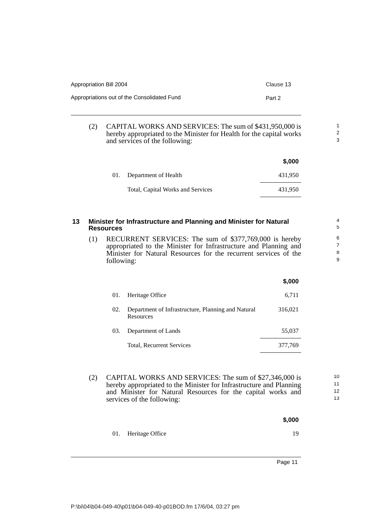| Appropriation Bill 2004                     | Clause 13 |
|---------------------------------------------|-----------|
| Appropriations out of the Consolidated Fund | Part 2    |

(2) CAPITAL WORKS AND SERVICES: The sum of \$431,950,000 is hereby appropriated to the Minister for Health for the capital works and services of the following:

|                                   | \$,000  |
|-----------------------------------|---------|
| 01. Department of Health          | 431,950 |
| Total, Capital Works and Services | 431.950 |

#### <span id="page-14-0"></span>**13 Minister for Infrastructure and Planning and Minister for Natural Resources**

(1) RECURRENT SERVICES: The sum of \$377,769,000 is hereby appropriated to the Minister for Infrastructure and Planning and Minister for Natural Resources for the recurrent services of the following:

|     |                                                                        | \$,000  |
|-----|------------------------------------------------------------------------|---------|
| 01. | Heritage Office                                                        | 6,711   |
| 02. | Department of Infrastructure, Planning and Natural<br><b>Resources</b> | 316,021 |
| 03. | Department of Lands                                                    | 55,037  |
|     | Total, Recurrent Services                                              | 377,769 |

- (2) CAPITAL WORKS AND SERVICES: The sum of \$27,346,000 is hereby appropriated to the Minister for Infrastructure and Planning and Minister for Natural Resources for the capital works and services of the following:
	- **\$,000** 01. Heritage Office 19

Page 11

11 12 13

10

1 2 3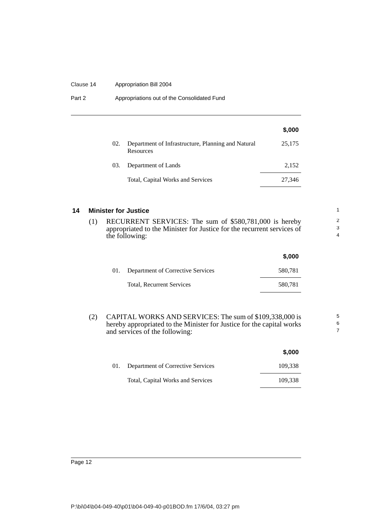#### Clause 14 Appropriation Bill 2004

Part 2 **Appropriations out of the Consolidated Fund** 

|     |                                                                 | \$,000 |
|-----|-----------------------------------------------------------------|--------|
| 02. | Department of Infrastructure, Planning and Natural<br>Resources | 25,175 |
| 03. | Department of Lands                                             | 2,152  |
|     | Total, Capital Works and Services                               | 27,346 |

#### <span id="page-15-0"></span>**14 Minister for Justice**

(1) RECURRENT SERVICES: The sum of \$580,781,000 is hereby appropriated to the Minister for Justice for the recurrent services of the following:

|     |                                   | \$,000  |
|-----|-----------------------------------|---------|
| 01. | Department of Corrective Services | 580,781 |
|     | <b>Total, Recurrent Services</b>  | 580,781 |

5 6 7

(2) CAPITAL WORKS AND SERVICES: The sum of \$109,338,000 is hereby appropriated to the Minister for Justice for the capital works and services of the following:

|     |                                          | \$,000  |
|-----|------------------------------------------|---------|
| 01. | <b>Department of Corrective Services</b> | 109.338 |
|     | Total, Capital Works and Services        | 109.338 |

#### Page 12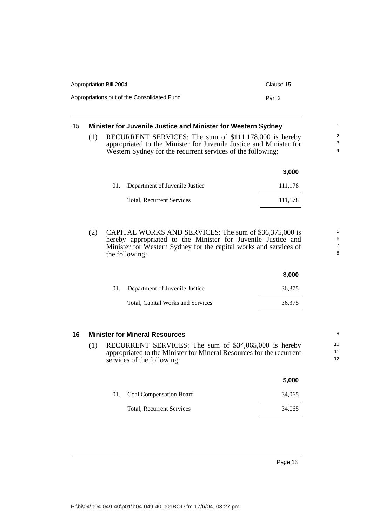| Appropriation Bill 2004                     | Clause 15 |
|---------------------------------------------|-----------|
| Appropriations out of the Consolidated Fund | Part 2    |

#### <span id="page-16-0"></span>**15 Minister for Juvenile Justice and Minister for Western Sydney** (1) RECURRENT SERVICES: The sum of \$111,178,000 is hereby appropriated to the Minister for Juvenile Justice and Minister for Western Sydney for the recurrent services of the following: 1 2 3 4

|     |                                  | \$,000  |
|-----|----------------------------------|---------|
| 01. | Department of Juvenile Justice   | 111,178 |
|     | <b>Total, Recurrent Services</b> | 111.178 |

(2) CAPITAL WORKS AND SERVICES: The sum of \$36,375,000 is hereby appropriated to the Minister for Juvenile Justice and Minister for Western Sydney for the capital works and services of the following:

|                                    | \$.000 |
|------------------------------------|--------|
| 01. Department of Juvenile Justice | 36.375 |
| Total, Capital Works and Services  | 36.375 |

### <span id="page-16-1"></span>**16 Minister for Mineral Resources**

(1) RECURRENT SERVICES: The sum of \$34,065,000 is hereby appropriated to the Minister for Mineral Resources for the recurrent services of the following:

|                                  | \$,000 |
|----------------------------------|--------|
| 01. Coal Compensation Board      | 34,065 |
| <b>Total, Recurrent Services</b> | 34,065 |

Page 13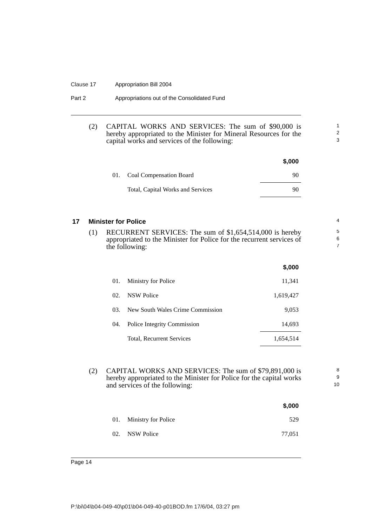#### Clause 17 Appropriation Bill 2004

| Part 2 | Appropriations out of the Consolidated Fund |  |
|--------|---------------------------------------------|--|
|--------|---------------------------------------------|--|

#### (2) CAPITAL WORKS AND SERVICES: The sum of \$90,000 is hereby appropriated to the Minister for Mineral Resources for the capital works and services of the following:

|                                   | \$,000 |
|-----------------------------------|--------|
| 01. Coal Compensation Board       | 90     |
| Total, Capital Works and Services | 90     |

#### <span id="page-17-0"></span>**17 Minister for Police**

(1) RECURRENT SERVICES: The sum of \$1,654,514,000 is hereby appropriated to the Minister for Police for the recurrent services of the following:

|     |                                  | \$,000    |
|-----|----------------------------------|-----------|
| 01. | <b>Ministry for Police</b>       | 11,341    |
| 02. | NSW Police                       | 1,619,427 |
| 03. | New South Wales Crime Commission | 9,053     |
| 04. | Police Integrity Commission      | 14,693    |
|     | Total, Recurrent Services        | 1,654,514 |

(2) CAPITAL WORKS AND SERVICES: The sum of \$79,891,000 is hereby appropriated to the Minister for Police for the capital works and services of the following:

|                         | \$,000 |
|-------------------------|--------|
| 01. Ministry for Police | 529    |
| 02. NSW Police          | 77,051 |

Page 14

P:\bi\04\b04-049-40\p01\b04-049-40-p01BOD.fm 17/6/04, 03:27 pm

8 9

1 2 3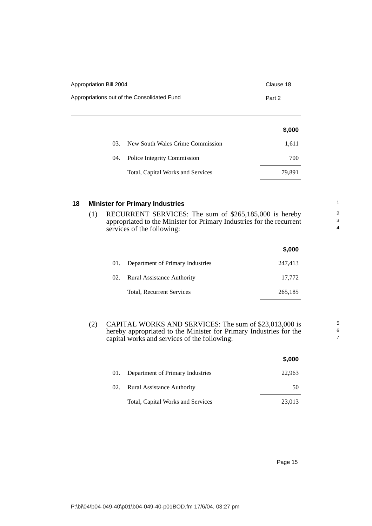| Appropriation Bill 2004                     | Clause 18 |
|---------------------------------------------|-----------|
| Appropriations out of the Consolidated Fund | Part 2    |

|     |                                   | \$,000 |
|-----|-----------------------------------|--------|
| 03. | New South Wales Crime Commission  | 1,611  |
|     | 04. Police Integrity Commission   | 700    |
|     | Total, Capital Works and Services | 79.891 |

#### <span id="page-18-0"></span>**18 Minister for Primary Industries**

(1) RECURRENT SERVICES: The sum of \$265,185,000 is hereby appropriated to the Minister for Primary Industries for the recurrent services of the following:

|     |                                   | \$,000  |
|-----|-----------------------------------|---------|
| 01. | Department of Primary Industries  | 247,413 |
| 02. | <b>Rural Assistance Authority</b> | 17,772  |
|     | Total, Recurrent Services         | 265,185 |

(2) CAPITAL WORKS AND SERVICES: The sum of \$23,013,000 is hereby appropriated to the Minister for Primary Industries for the capital works and services of the following:

|     |                                   | \$,000 |
|-----|-----------------------------------|--------|
| 01. | Department of Primary Industries  | 22,963 |
| 02. | <b>Rural Assistance Authority</b> | 50     |
|     | Total, Capital Works and Services | 23,013 |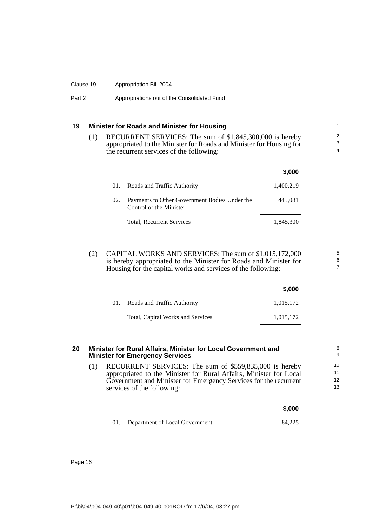#### Clause 19 Appropriation Bill 2004

Part 2 **Appropriations out of the Consolidated Fund** 

### <span id="page-19-0"></span>**19 Minister for Roads and Minister for Housing**

(1) RECURRENT SERVICES: The sum of \$1,845,300,000 is hereby appropriated to the Minister for Roads and Minister for Housing for the recurrent services of the following:

5 6 7

|     |                                                                          | \$,000    |
|-----|--------------------------------------------------------------------------|-----------|
| 01. | Roads and Traffic Authority                                              | 1,400,219 |
| 02. | Payments to Other Government Bodies Under the<br>Control of the Minister | 445,081   |
|     | Total, Recurrent Services                                                | 1.845.300 |
|     |                                                                          |           |

(2) CAPITAL WORKS AND SERVICES: The sum of \$1,015,172,000 is hereby appropriated to the Minister for Roads and Minister for Housing for the capital works and services of the following:

|     |                                   | \$,000    |
|-----|-----------------------------------|-----------|
| 01. | Roads and Traffic Authority       | 1,015,172 |
|     | Total, Capital Works and Services | 1.015.172 |

<span id="page-19-1"></span>

| 20 |     | Minister for Rural Affairs, Minister for Local Government and<br><b>Minister for Emergency Services</b>                                                                                                                        | 8<br>9               |
|----|-----|--------------------------------------------------------------------------------------------------------------------------------------------------------------------------------------------------------------------------------|----------------------|
|    | (1) | RECURRENT SERVICES: The sum of \$559,835,000 is hereby<br>appropriated to the Minister for Rural Affairs, Minister for Local<br>Government and Minister for Emergency Services for the recurrent<br>services of the following: | 10<br>11<br>12<br>13 |
|    |     | \$,000                                                                                                                                                                                                                         |                      |

01. Department of Local Government 84,225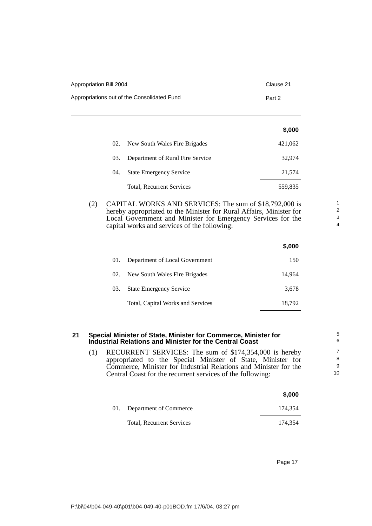| Appropriation Bill 2004                     | Clause 21 |
|---------------------------------------------|-----------|
| Appropriations out of the Consolidated Fund | Part 2    |

|     |                                  | \$,000  |
|-----|----------------------------------|---------|
| 02. | New South Wales Fire Brigades    | 421,062 |
| 03. | Department of Rural Fire Service | 32.974  |
| 04. | <b>State Emergency Service</b>   | 21,574  |
|     | Total, Recurrent Services        | 559,835 |

(2) CAPITAL WORKS AND SERVICES: The sum of \$18,792,000 is hereby appropriated to the Minister for Rural Affairs, Minister for Local Government and Minister for Emergency Services for the capital works and services of the following:

|     |                                   | \$,000 |
|-----|-----------------------------------|--------|
| 01. | Department of Local Government    | 150    |
| 02. | New South Wales Fire Brigades     | 14.964 |
| 03. | <b>State Emergency Service</b>    | 3.678  |
|     | Total, Capital Works and Services | 18,792 |

#### <span id="page-20-0"></span>**21 Special Minister of State, Minister for Commerce, Minister for Industrial Relations and Minister for the Central Coast**

(1) RECURRENT SERVICES: The sum of \$174,354,000 is hereby appropriated to the Special Minister of State, Minister for Commerce, Minister for Industrial Relations and Minister for the Central Coast for the recurrent services of the following:

|     |                           | \$,000  |
|-----|---------------------------|---------|
| 01. | Department of Commerce    | 174.354 |
|     | Total, Recurrent Services | 174.354 |
|     |                           |         |

Page 17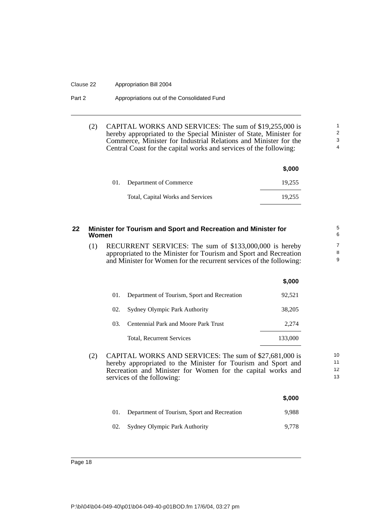#### Clause 22 Appropriation Bill 2004

#### Part 2 **Appropriations out of the Consolidated Fund**

(2) CAPITAL WORKS AND SERVICES: The sum of \$19,255,000 is hereby appropriated to the Special Minister of State, Minister for Commerce, Minister for Industrial Relations and Minister for the Central Coast for the capital works and services of the following:

|                                   | \$,000 |
|-----------------------------------|--------|
| 01. Department of Commerce        | 19.255 |
| Total, Capital Works and Services | 19.255 |

<span id="page-21-0"></span>

| 22 | Minister for Tourism and Sport and Recreation and Minister for<br>Women                                                                                                                                                     |                                                                                                                                                                                                    | 5<br>6  |                          |
|----|-----------------------------------------------------------------------------------------------------------------------------------------------------------------------------------------------------------------------------|----------------------------------------------------------------------------------------------------------------------------------------------------------------------------------------------------|---------|--------------------------|
|    | (1)                                                                                                                                                                                                                         | RECURRENT SERVICES: The sum of \$133,000,000 is hereby<br>appropriated to the Minister for Tourism and Sport and Recreation<br>and Minister for Women for the recurrent services of the following: |         | $\overline{7}$<br>8<br>9 |
|    |                                                                                                                                                                                                                             |                                                                                                                                                                                                    | \$,000  |                          |
|    |                                                                                                                                                                                                                             | 01.<br>Department of Tourism, Sport and Recreation                                                                                                                                                 | 92,521  |                          |
|    |                                                                                                                                                                                                                             | Sydney Olympic Park Authority<br>02.                                                                                                                                                               | 38,205  |                          |
|    |                                                                                                                                                                                                                             | <b>Centennial Park and Moore Park Trust</b><br>03.                                                                                                                                                 | 2,274   |                          |
|    |                                                                                                                                                                                                                             | Total, Recurrent Services                                                                                                                                                                          | 133,000 |                          |
|    | (2)<br>CAPITAL WORKS AND SERVICES: The sum of \$27,681,000 is<br>hereby appropriated to the Minister for Tourism and Sport and<br>Recreation and Minister for Women for the capital works and<br>services of the following: |                                                                                                                                                                                                    |         | 10<br>11<br>12<br>13     |
|    |                                                                                                                                                                                                                             |                                                                                                                                                                                                    | \$,000  |                          |
|    |                                                                                                                                                                                                                             | 01.<br>Department of Tourism, Sport and Recreation                                                                                                                                                 | 9.988   |                          |
|    |                                                                                                                                                                                                                             | Sydney Olympic Park Authority<br>02.                                                                                                                                                               | 9,778   |                          |
|    |                                                                                                                                                                                                                             |                                                                                                                                                                                                    |         |                          |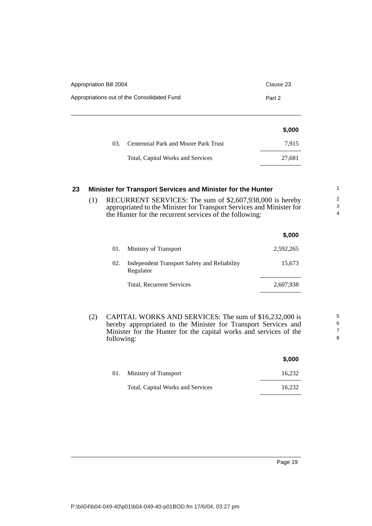| Appropriation Bill 2004 |                                             | Clause 23 |
|-------------------------|---------------------------------------------|-----------|
|                         | Appropriations out of the Consolidated Fund | Part 2    |
|                         |                                             | \$,000    |
| 03.                     | <b>Centennial Park and Moore Park Trust</b> | 7,915     |
|                         | Total, Capital Works and Services           | 27,681    |

### <span id="page-22-0"></span>**23 Minister for Transport Services and Minister for the Hunter**

(1) RECURRENT SERVICES: The sum of \$2,607,938,000 is hereby appropriated to the Minister for Transport Services and Minister for the Hunter for the recurrent services of the following:

|     |                                                           | \$,000    |
|-----|-----------------------------------------------------------|-----------|
| 01. | Ministry of Transport                                     | 2,592,265 |
| 02. | Independent Transport Safety and Reliability<br>Regulator | 15,673    |
|     | Total, Recurrent Services                                 | 2,607,938 |

(2) CAPITAL WORKS AND SERVICES: The sum of \$16,232,000 is hereby appropriated to the Minister for Transport Services and Minister for the Hunter for the capital works and services of the following:

|                                   | J.UUU  |
|-----------------------------------|--------|
| 01. Ministry of Transport         | 16.232 |
| Total, Capital Works and Services | 16.232 |

**\$,000**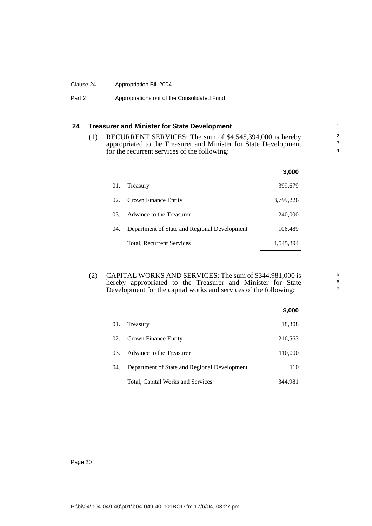#### Clause 24 Appropriation Bill 2004

#### Part 2 **Appropriations out of the Consolidated Fund**

## <span id="page-23-0"></span>**24 Treasurer and Minister for State Development**

(1) RECURRENT SERVICES: The sum of \$4,545,394,000 is hereby appropriated to the Treasurer and Minister for State Development for the recurrent services of the following:

|     |                                              | \$.000    |
|-----|----------------------------------------------|-----------|
| 01. | Treasury                                     | 399,679   |
| 02. | Crown Finance Entity                         | 3,799,226 |
| 03. | Advance to the Treasurer                     | 240,000   |
| 04. | Department of State and Regional Development | 106,489   |
|     | Total, Recurrent Services                    | 4,545,394 |

(2) CAPITAL WORKS AND SERVICES: The sum of \$344,981,000 is hereby appropriated to the Treasurer and Minister for State Development for the capital works and services of the following:

|     |                                              | \$,000  |
|-----|----------------------------------------------|---------|
| 01. | Treasury                                     | 18,308  |
|     | 02. Crown Finance Entity                     | 216,563 |
| 03. | Advance to the Treasurer                     | 110,000 |
| 04. | Department of State and Regional Development | 110     |
|     | Total, Capital Works and Services            | 344.981 |

5 6 7

Page 20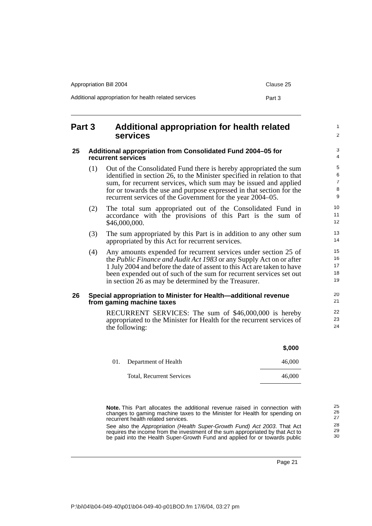| Appropriation Bill 2004                              | Clause 25 |
|------------------------------------------------------|-----------|
| Additional appropriation for health related services | Part 3    |

## <span id="page-24-0"></span>**Part 3 Additional appropriation for health related services**

#### <span id="page-24-1"></span>**25 Additional appropriation from Consolidated Fund 2004–05 for recurrent services**

- (1) Out of the Consolidated Fund there is hereby appropriated the sum identified in section 26, to the Minister specified in relation to that sum, for recurrent services, which sum may be issued and applied for or towards the use and purpose expressed in that section for the recurrent services of the Government for the year 2004–05.
- (2) The total sum appropriated out of the Consolidated Fund in accordance with the provisions of this Part is the sum of \$46,000,000.
- (3) The sum appropriated by this Part is in addition to any other sum appropriated by this Act for recurrent services.
- (4) Any amounts expended for recurrent services under section 25 of the *Public Finance and Audit Act 1983* or any Supply Act on or after 1 July 2004 and before the date of assent to this Act are taken to have been expended out of such of the sum for recurrent services set out in section 26 as may be determined by the Treasurer.

#### <span id="page-24-2"></span>**26 Special appropriation to Minister for Health—additional revenue from gaming machine taxes**

RECURRENT SERVICES: The sum of \$46,000,000 is hereby appropriated to the Minister for Health for the recurrent services of the following:

|                                  | \$,000 |
|----------------------------------|--------|
| 01. Department of Health         | 46,000 |
| <b>Total, Recurrent Services</b> | 46,000 |

**Note.** This Part allocates the additional revenue raised in connection with changes to gaming machine taxes to the Minister for Health for spending on recurrent health related services.

See also the *Appropriation (Health Super-Growth Fund) Act 2003*. That Act requires the income from the investment of the sum appropriated by that Act to be paid into the Health Super-Growth Fund and applied for or towards public

Page 21

1  $\mathfrak{p}$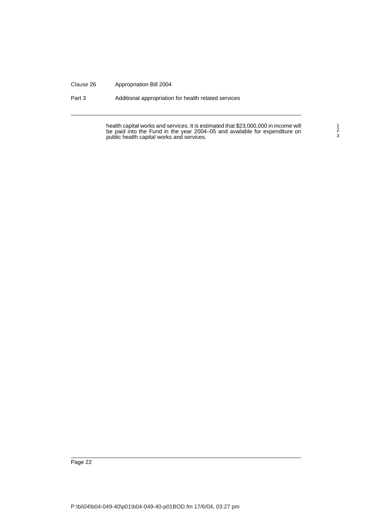#### Clause 26 Appropriation Bill 2004

Part 3 Additional appropriation for health related services

health capital works and services. It is estimated that \$23,000,000 in income will be paid into the Fund in the year 2004–05 and available for expenditure on public health capital works and services.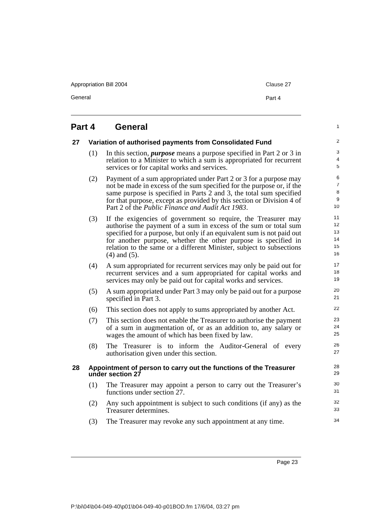Appropriation Bill 2004 Clause 27

General **Part 4** 

1

# <span id="page-26-0"></span>**Part 4 General**

<span id="page-26-2"></span><span id="page-26-1"></span>

| 27 |     | Variation of authorised payments from Consolidated Fund                                                                                                                                                                                                                                                                                                                    | $\overline{\mathbf{c}}$             |
|----|-----|----------------------------------------------------------------------------------------------------------------------------------------------------------------------------------------------------------------------------------------------------------------------------------------------------------------------------------------------------------------------------|-------------------------------------|
|    | (1) | In this section, <i>purpose</i> means a purpose specified in Part 2 or 3 in<br>relation to a Minister to which a sum is appropriated for recurrent<br>services or for capital works and services.                                                                                                                                                                          | 3<br>4<br>5                         |
|    | (2) | Payment of a sum appropriated under Part 2 or 3 for a purpose may<br>not be made in excess of the sum specified for the purpose or, if the<br>same purpose is specified in Parts 2 and 3, the total sum specified<br>for that purpose, except as provided by this section or Division 4 of<br>Part 2 of the Public Finance and Audit Act 1983.                             | 6<br>$\overline{7}$<br>8<br>9<br>10 |
|    | (3) | If the exigencies of government so require, the Treasurer may<br>authorise the payment of a sum in excess of the sum or total sum<br>specified for a purpose, but only if an equivalent sum is not paid out<br>for another purpose, whether the other purpose is specified in<br>relation to the same or a different Minister, subject to subsections<br>$(4)$ and $(5)$ . | 11<br>12<br>13<br>14<br>15<br>16    |
|    | (4) | A sum appropriated for recurrent services may only be paid out for<br>recurrent services and a sum appropriated for capital works and<br>services may only be paid out for capital works and services.                                                                                                                                                                     | 17<br>18<br>19                      |
|    | (5) | A sum appropriated under Part 3 may only be paid out for a purpose<br>specified in Part 3.                                                                                                                                                                                                                                                                                 | 20<br>21                            |
|    | (6) | This section does not apply to sums appropriated by another Act.                                                                                                                                                                                                                                                                                                           | 22                                  |
|    | (7) | This section does not enable the Treasurer to authorise the payment<br>of a sum in augmentation of, or as an addition to, any salary or<br>wages the amount of which has been fixed by law.                                                                                                                                                                                | 23<br>24<br>25                      |
|    | (8) | The Treasurer is to inform the Auditor-General of every<br>authorisation given under this section.                                                                                                                                                                                                                                                                         | 26<br>27                            |
| 28 |     | Appointment of person to carry out the functions of the Treasurer<br>under section 27                                                                                                                                                                                                                                                                                      | 28<br>29                            |
|    | (1) | The Treasurer may appoint a person to carry out the Treasurer's<br>functions under section 27.                                                                                                                                                                                                                                                                             | 30<br>31                            |
|    | (2) | Any such appointment is subject to such conditions (if any) as the<br>Treasurer determines.                                                                                                                                                                                                                                                                                | 32<br>33                            |
|    | (3) | The Treasurer may revoke any such appointment at any time.                                                                                                                                                                                                                                                                                                                 | 34                                  |